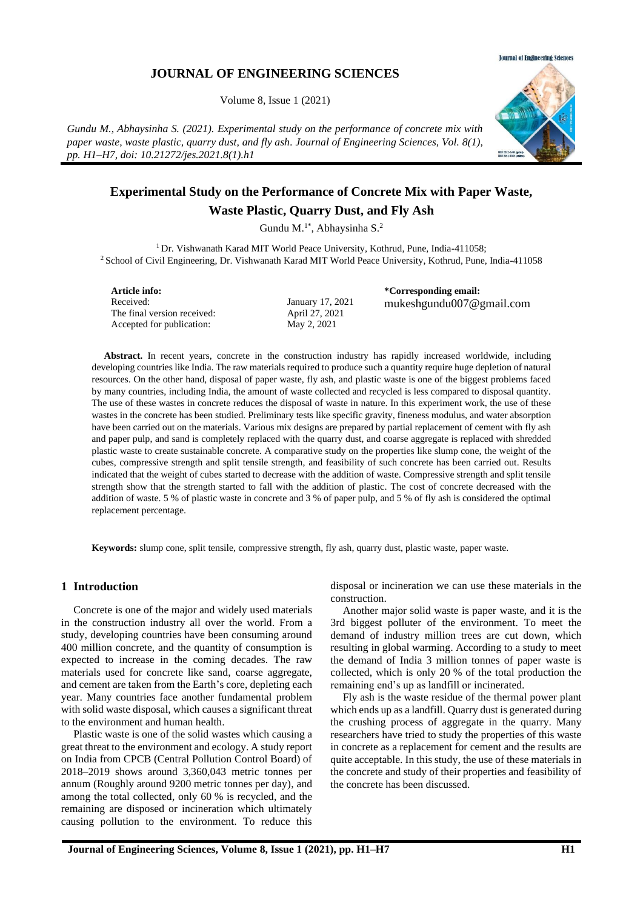# **JOURNAL OF ENGINEERING SCIENCES**

Volume 8, Issue 1 (2021)

*Gundu M., Abhaysinha S. (2021). Experimental study on the performance of concrete mix with paper waste, waste plastic, quarry dust, and fly ash. Journal of Engineering Sciences, Vol. 8(1), pp. H1–H7, doi: 10.21272/jes.2021.8(1).h1*



# **Experimental Study on the Performance of Concrete Mix with Paper Waste, Waste Plastic, Quarry Dust, and Fly Ash**

Gundu M.<sup>1\*</sup>, Abhaysinha S.<sup>2</sup>

<sup>1</sup> Dr. Vishwanath Karad MIT World Peace University, Kothrud, Pune, India-411058; <sup>2</sup> School of Civil Engineering, Dr. Vishwanath Karad MIT World Peace University, Kothrud, Pune, India-411058

**Article info:** Received: The final version received: Accepted for publication:

January 17, 2021 April 27, 2021 May 2, 2021

**\*Corresponding email:** mukeshgundu007@gmail.com

**Abstract.** In recent years, concrete in the construction industry has rapidly increased worldwide, including developing countries like India. The raw materials required to produce such a quantity require huge depletion of natural resources. On the other hand, disposal of paper waste, fly ash, and plastic waste is one of the biggest problems faced by many countries, including India, the amount of waste collected and recycled is less compared to disposal quantity. The use of these wastes in concrete reduces the disposal of waste in nature. In this experiment work, the use of these wastes in the concrete has been studied. Preliminary tests like specific gravity, fineness modulus, and water absorption have been carried out on the materials. Various mix designs are prepared by partial replacement of cement with fly ash and paper pulp, and sand is completely replaced with the quarry dust, and coarse aggregate is replaced with shredded plastic waste to create sustainable concrete. A comparative study on the properties like slump cone, the weight of the cubes, compressive strength and split tensile strength, and feasibility of such concrete has been carried out. Results indicated that the weight of cubes started to decrease with the addition of waste. Compressive strength and split tensile strength show that the strength started to fall with the addition of plastic. The cost of concrete decreased with the addition of waste. 5 % of plastic waste in concrete and 3 % of paper pulp, and 5 % of fly ash is considered the optimal replacement percentage.

**Keywords:** slump cone, split tensile, compressive strength, fly ash, quarry dust, plastic waste, paper waste.

# **1 Introduction**

Concrete is one of the major and widely used materials in the construction industry all over the world. From a study, developing countries have been consuming around 400 million concrete, and the quantity of consumption is expected to increase in the coming decades. The raw materials used for concrete like sand, coarse aggregate, and cement are taken from the Earth's core, depleting each year. Many countries face another fundamental problem with solid waste disposal, which causes a significant threat to the environment and human health.

Plastic waste is one of the solid wastes which causing a great threat to the environment and ecology. A study report on India from CPCB (Central Pollution Control Board) of 2018–2019 shows around 3,360,043 metric tonnes per annum (Roughly around 9200 metric tonnes per day), and among the total collected, only 60 % is recycled, and the remaining are disposed or incineration which ultimately causing pollution to the environment. To reduce this disposal or incineration we can use these materials in the construction.

Another major solid waste is paper waste, and it is the 3rd biggest polluter of the environment. To meet the demand of industry million trees are cut down, which resulting in global warming. According to a study to meet the demand of India 3 million tonnes of paper waste is collected, which is only 20 % of the total production the remaining end's up as landfill or incinerated.

Fly ash is the waste residue of the thermal power plant which ends up as a landfill. Quarry dust is generated during the crushing process of aggregate in the quarry. Many researchers have tried to study the properties of this waste in concrete as a replacement for cement and the results are quite acceptable. In this study, the use of these materials in the concrete and study of their properties and feasibility of the concrete has been discussed.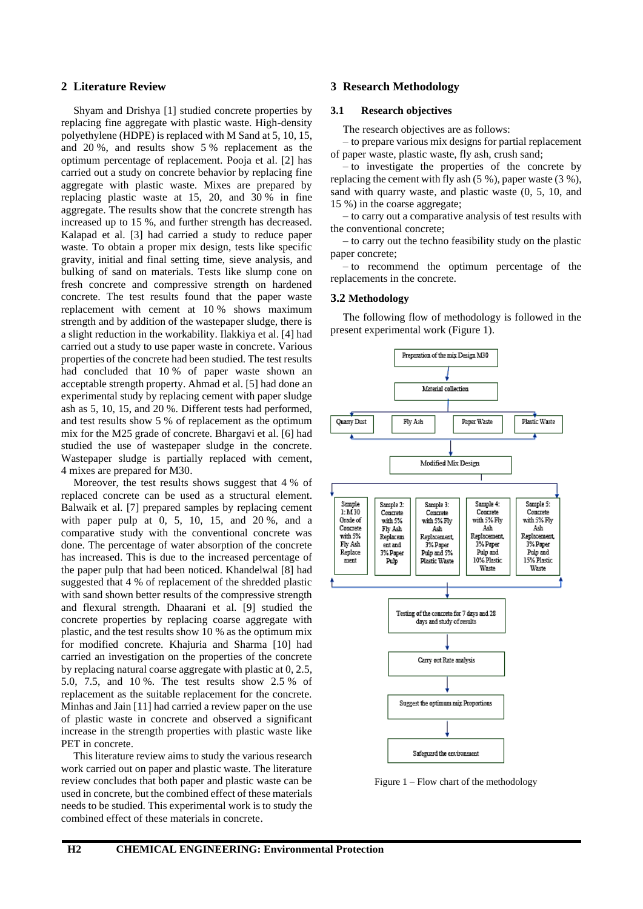## **2 Literature Review**

Shyam and Drishya [1] studied concrete properties by replacing fine aggregate with plastic waste. High-density polyethylene (HDPE) is replaced with M Sand at 5, 10, 15, and 20 %, and results show 5 % replacement as the optimum percentage of replacement. Pooja et al. [2] has carried out a study on concrete behavior by replacing fine aggregate with plastic waste. Mixes are prepared by replacing plastic waste at 15, 20, and 30 % in fine aggregate. The results show that the concrete strength has increased up to 15 %, and further strength has decreased. Kalapad et al. [3] had carried a study to reduce paper waste. To obtain a proper mix design, tests like specific gravity, initial and final setting time, sieve analysis, and bulking of sand on materials. Tests like slump cone on fresh concrete and compressive strength on hardened concrete. The test results found that the paper waste replacement with cement at 10 % shows maximum strength and by addition of the wastepaper sludge, there is a slight reduction in the workability. Ilakkiya et al. [4] had carried out a study to use paper waste in concrete. Various properties of the concrete had been studied. The test results had concluded that 10 % of paper waste shown an acceptable strength property. Ahmad et al. [5] had done an experimental study by replacing cement with paper sludge ash as 5, 10, 15, and 20 %. Different tests had performed, and test results show 5 % of replacement as the optimum mix for the M25 grade of concrete. Bhargavi et al. [6] had studied the use of wastepaper sludge in the concrete. Wastepaper sludge is partially replaced with cement, 4 mixes are prepared for M30.

Moreover, the test results shows suggest that 4 % of replaced concrete can be used as a structural element. Balwaik et al. [7] prepared samples by replacing cement with paper pulp at 0, 5, 10, 15, and 20 %, and a comparative study with the conventional concrete was done. The percentage of water absorption of the concrete has increased. This is due to the increased percentage of the paper pulp that had been noticed. Khandelwal [8] had suggested that 4 % of replacement of the shredded plastic with sand shown better results of the compressive strength and flexural strength. Dhaarani et al. [9] studied the concrete properties by replacing coarse aggregate with plastic, and the test results show 10 % as the optimum mix for modified concrete. Khajuria and Sharma [10] had carried an investigation on the properties of the concrete by replacing natural coarse aggregate with plastic at 0, 2.5, 5.0, 7.5, and 10 %. The test results show 2.5 % of replacement as the suitable replacement for the concrete. Minhas and Jain [11] had carried a review paper on the use of plastic waste in concrete and observed a significant increase in the strength properties with plastic waste like PET in concrete.

This literature review aims to study the various research work carried out on paper and plastic waste. The literature review concludes that both paper and plastic waste can be used in concrete, but the combined effect of these materials needs to be studied. This experimental work is to study the combined effect of these materials in concrete.

# **3 Research Methodology**

# **3.1 Research objectives**

The research objectives are as follows:

– to prepare various mix designs for partial replacement of paper waste, plastic waste, fly ash, crush sand;

– to investigate the properties of the concrete by replacing the cement with fly ash (5 %), paper waste (3 %), sand with quarry waste, and plastic waste (0, 5, 10, and 15 %) in the coarse aggregate;

– to carry out a comparative analysis of test results with the conventional concrete;

– to carry out the techno feasibility study on the plastic paper concrete;

– to recommend the optimum percentage of the replacements in the concrete.

#### **3.2 Methodology**

The following flow of methodology is followed in the present experimental work (Figure 1).



Figure 1 – Flow chart of the methodology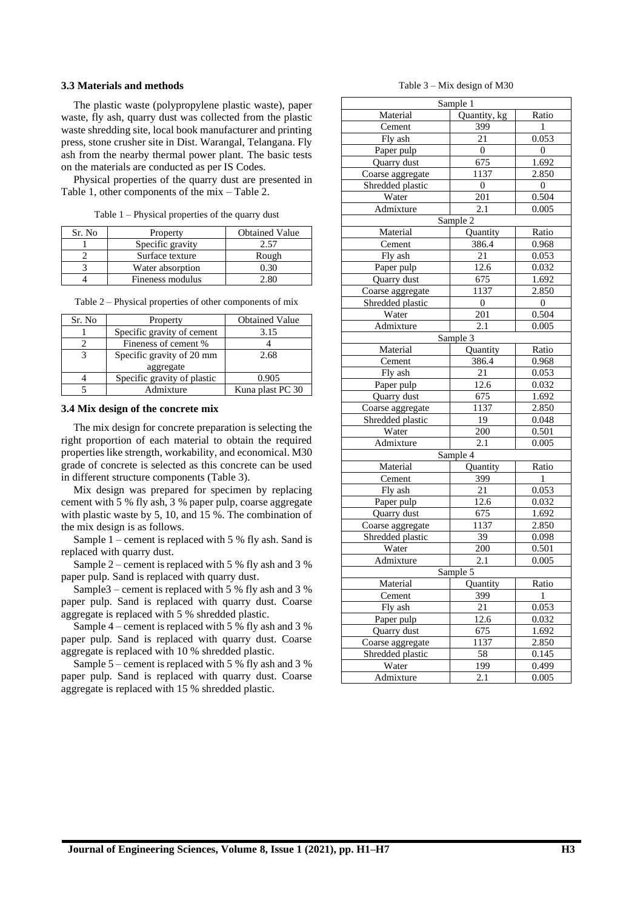#### **3.3 Materials and methods**

The plastic waste (polypropylene plastic waste), paper waste, fly ash, quarry dust was collected from the plastic waste shredding site, local book manufacturer and printing press, stone crusher site in Dist. Warangal, Telangana. Fly ash from the nearby thermal power plant. The basic tests on the materials are conducted as per IS Codes.

Physical properties of the quarry dust are presented in Table 1, other components of the mix – Table 2.

Table 1 – Physical properties of the quarry dust

| Sr. No | Property         | <b>Obtained Value</b> |
|--------|------------------|-----------------------|
|        | Specific gravity |                       |
|        | Surface texture  | Rough                 |
|        | Water absorption | ) 30                  |
|        | Fineness modulus |                       |

| Sr. No        | Property                    | <b>Obtained Value</b> |
|---------------|-----------------------------|-----------------------|
|               | Specific gravity of cement  | 3.15                  |
|               | Fineness of cement %        |                       |
| $\mathcal{R}$ | Specific gravity of 20 mm   | 2.68                  |
|               | aggregate                   |                       |
|               | Specific gravity of plastic | 0.905                 |
|               | Admixture                   | Kuna plast PC 30      |
|               |                             |                       |

Table 2 – Physical properties of other components of mix

#### **3.4 Mix design of the concrete mix**

The mix design for concrete preparation is selecting the right proportion of each material to obtain the required properties like strength, workability, and economical. M30 grade of concrete is selected as this concrete can be used in different structure components (Table 3).

Mix design was prepared for specimen by replacing cement with 5 % fly ash, 3 % paper pulp, coarse aggregate with plastic waste by 5, 10, and 15 %. The combination of the mix design is as follows.

Sample  $1$  – cement is replaced with 5 % fly ash. Sand is replaced with quarry dust.

Sample 2 – cement is replaced with 5 % fly ash and 3 % paper pulp. Sand is replaced with quarry dust.

Sample3 – cement is replaced with 5 % fly ash and 3 % paper pulp. Sand is replaced with quarry dust. Coarse aggregate is replaced with 5 % shredded plastic.

Sample 4 – cement is replaced with 5 % fly ash and 3 % paper pulp. Sand is replaced with quarry dust. Coarse aggregate is replaced with 10 % shredded plastic.

Sample 5 – cement is replaced with 5 % fly ash and 3 % paper pulp. Sand is replaced with quarry dust. Coarse aggregate is replaced with 15 % shredded plastic.

Table 3 – Mix design of M30

| Sample 1         |                  |                  |  |  |
|------------------|------------------|------------------|--|--|
| Material         | Quantity, kg     | Ratio            |  |  |
| Cement           | 399              | 1                |  |  |
| Fly ash          | 21               | 0.053            |  |  |
| Paper pulp       | $\overline{0}$   | $\boldsymbol{0}$ |  |  |
| Quarry dust      | 675              | 1.692            |  |  |
| Coarse aggregate | 1137             | 2.850            |  |  |
| Shredded plastic | $\mathbf{0}$     | $\mathbf{0}$     |  |  |
| Water            | 201              | 0.504            |  |  |
| Admixture        | 2.1              | 0.005            |  |  |
|                  | Sample 2         |                  |  |  |
| Material         | Quantity         | Ratio            |  |  |
| Cement           | 386.4            | 0.968            |  |  |
| Fly ash          | 21               | 0.053            |  |  |
| Paper pulp       | 12.6             | 0.032            |  |  |
| Quarry dust      | 675              | 1.692            |  |  |
| Coarse aggregate | 1137             | 2.850            |  |  |
| Shredded plastic | $\boldsymbol{0}$ | $\boldsymbol{0}$ |  |  |
| Water            | 201              | 0.504            |  |  |
| Admixture        | 2.1              | 0.005            |  |  |
|                  | Sample 3         |                  |  |  |
| Material         | Quantity         | Ratio            |  |  |
| Cement           | 386.4            | 0.968            |  |  |
| Fly ash          | 21               | 0.053            |  |  |
| Paper pulp       | 12.6             | 0.032            |  |  |
| Quarry dust      | 675              | 1.692            |  |  |
| Coarse aggregate | 1137             | 2.850            |  |  |
| Shredded plastic | 19               | 0.048            |  |  |
| Water            | 200              | 0.501            |  |  |
| Admixture        | 2.1              | 0.005            |  |  |
|                  | Sample 4         |                  |  |  |
| Material         | Quantity         | Ratio            |  |  |
| Cement           | 399              | 1                |  |  |
| Fly ash          | 21               | 0.053            |  |  |
| Paper pulp       | 12.6<br>0.032    |                  |  |  |
| Quarry dust      | 675              | 1.692            |  |  |
| Coarse aggregate | 1137             | 2.850            |  |  |
| Shredded plastic | 39               | 0.098            |  |  |
| Water            | 200              | 0.501            |  |  |
| Admixture        | 2.1              | 0.005            |  |  |
| Sample 5         |                  |                  |  |  |
| Material         | Quantity         | Ratio            |  |  |
| Cement           | 399              | 1                |  |  |
| Fly ash          | 21               | 0.053            |  |  |
| Paper pulp       | 12.6             | 0.032            |  |  |
| Quarry dust      | 675              | 1.692            |  |  |
| Coarse aggregate | 2.850<br>1137    |                  |  |  |
| Shredded plastic | 58               | 0.145            |  |  |
| Water            | 199              | 0.499            |  |  |
| Admixture        | 2.1<br>0.005     |                  |  |  |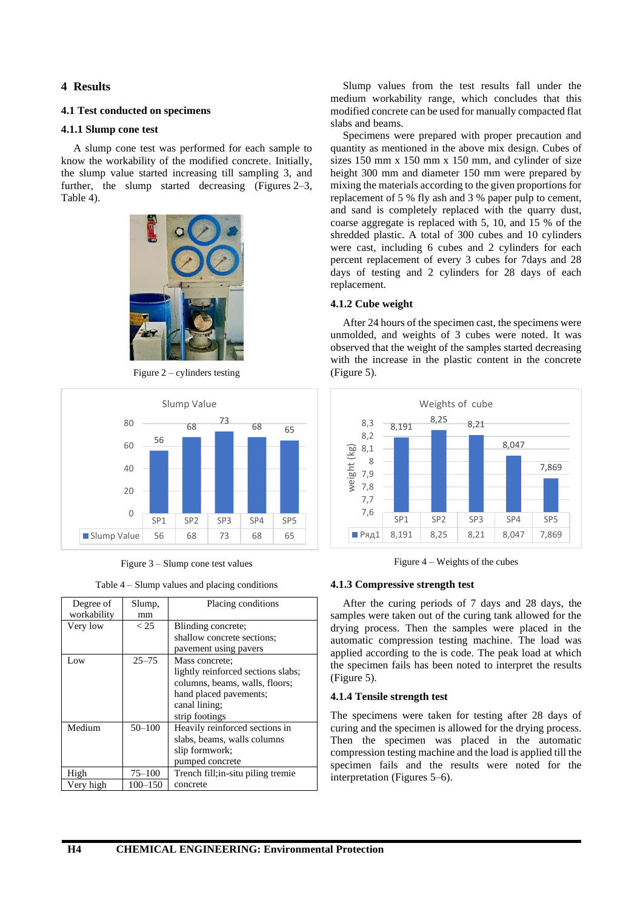# **4 Results**

# **4.1 Test conducted on specimens**

## **4.1.1 Slump cone test**

A slump cone test was performed for each sample to know the workability of the modified concrete. Initially, the slump value started increasing till sampling 3, and further, the slump started decreasing (Figures 2–3, Table 4).



Figure 2 – cylinders testing



Figure 3 – Slump cone test values

Table 4 – Slump values and placing conditions

| Degree of<br>workability | Slump,<br>mm | Placing conditions                 |
|--------------------------|--------------|------------------------------------|
| Very low                 | < 25         | Blinding concrete;                 |
|                          |              | shallow concrete sections;         |
|                          |              | pavement using pavers              |
| Low                      | $25 - 75$    | Mass concrete;                     |
|                          |              | lightly reinforced sections slabs; |
|                          |              | columns, beams, walls, floors;     |
|                          |              | hand placed pavements;             |
|                          |              | canal lining;                      |
|                          |              | strip footings                     |
| Medium                   | $50 - 100$   | Heavily reinforced sections in     |
|                          |              | slabs, beams, walls columns        |
|                          |              | slip formwork;                     |
|                          |              | pumped concrete                    |
| High                     | $75 - 100$   | Trench fill; in-situ piling tremie |
| Very high                | 100–150      | concrete                           |

Slump values from the test results fall under the medium workability range, which concludes that this modified concrete can be used for manually compacted flat slabs and beams.

Specimens were prepared with proper precaution and quantity as mentioned in the above mix design. Cubes of sizes 150 mm x 150 mm x 150 mm, and cylinder of size height 300 mm and diameter 150 mm were prepared by mixing the materials according to the given proportions for replacement of 5 % fly ash and 3 % paper pulp to cement, and sand is completely replaced with the quarry dust, coarse aggregate is replaced with 5, 10, and 15 % of the shredded plastic. A total of 300 cubes and 10 cylinders were cast, including 6 cubes and 2 cylinders for each percent replacement of every 3 cubes for 7days and 28 days of testing and 2 cylinders for 28 days of each replacement.

# **4.1.2 Cube weight**

After 24 hours of the specimen cast, the specimens were unmolded, and weights of 3 cubes were noted. It was observed that the weight of the samples started decreasing with the increase in the plastic content in the concrete (Figure 5).



Figure 4 – Weights of the cubes

#### **4.1.3 Compressive strength test**

After the curing periods of 7 days and 28 days, the samples were taken out of the curing tank allowed for the drying process. Then the samples were placed in the automatic compression testing machine. The load was applied according to the is code. The peak load at which the specimen fails has been noted to interpret the results (Figure 5).

#### **4.1.4 Tensile strength test**

The specimens were taken for testing after 28 days of curing and the specimen is allowed for the drying process. Then the specimen was placed in the automatic compression testing machine and the load is applied till the specimen fails and the results were noted for the interpretation (Figures 5–6).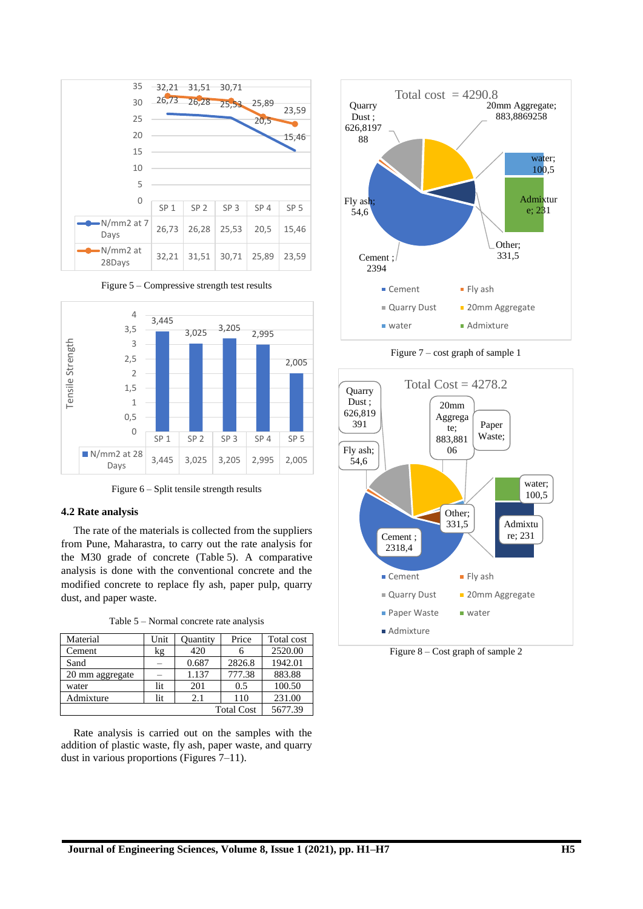







## **4.2 Rate analysis**

The rate of the materials is collected from the suppliers from Pune, Maharastra, to carry out the rate analysis for the M30 grade of concrete (Table 5). A comparative analysis is done with the conventional concrete and the modified concrete to replace fly ash, paper pulp, quarry dust, and paper waste.

| Table 5 – Normal concrete rate analysis |
|-----------------------------------------|
|-----------------------------------------|

| Material          | Unit | Quantity | Price  | Total cost |
|-------------------|------|----------|--------|------------|
| Cement            | kg   | 420      |        | 2520.00    |
| Sand              |      | 0.687    | 2826.8 | 1942.01    |
| 20 mm aggregate   |      | 1.137    | 777.38 | 883.88     |
| water             | lit  | 201      | 0.5    | 100.50     |
| Admixture         | lit  | 2.1      | 110    | 231.00     |
| <b>Total Cost</b> |      |          |        | 5677.39    |

Rate analysis is carried out on the samples with the addition of plastic waste, fly ash, paper waste, and quarry dust in various proportions (Figures 7–11).



Figure 7 – cost graph of sample 1



Figure 8 – Cost graph of sample 2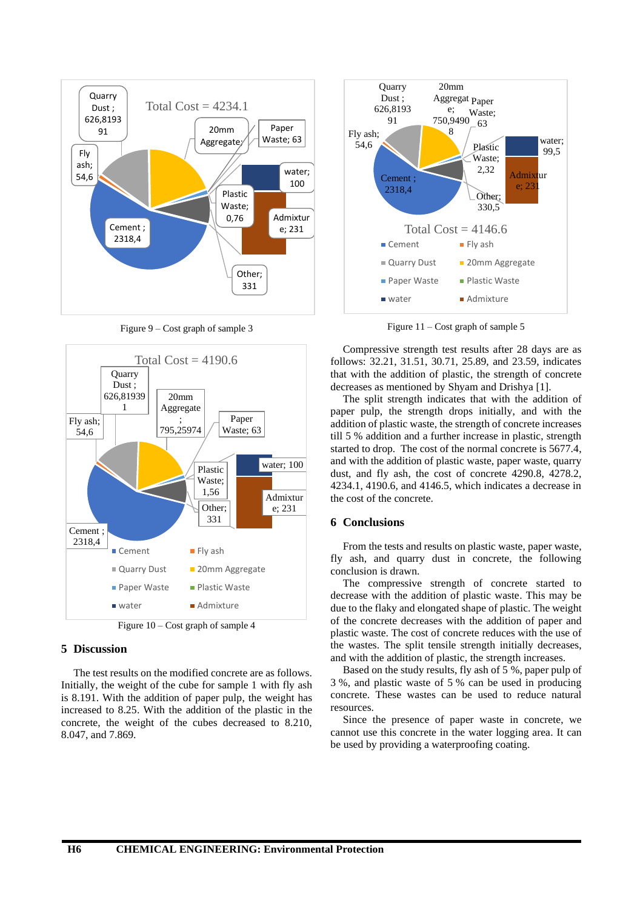

Figure 9 – Cost graph of sample 3



Figure 10 – Cost graph of sample 4

# **5 Discussion**

The test results on the modified concrete are as follows. Initially, the weight of the cube for sample 1 with fly ash is 8.191. With the addition of paper pulp, the weight has increased to 8.25. With the addition of the plastic in the concrete, the weight of the cubes decreased to 8.210, 8.047, and 7.869.



Figure 11 – Cost graph of sample 5

Compressive strength test results after 28 days are as follows: 32.21, 31.51, 30.71, 25.89, and 23.59, indicates that with the addition of plastic, the strength of concrete decreases as mentioned by Shyam and Drishya [1].

The split strength indicates that with the addition of paper pulp, the strength drops initially, and with the addition of plastic waste, the strength of concrete increases till 5 % addition and a further increase in plastic, strength started to drop. The cost of the normal concrete is 5677.4, and with the addition of plastic waste, paper waste, quarry dust, and fly ash, the cost of concrete 4290.8, 4278.2, 4234.1, 4190.6, and 4146.5, which indicates a decrease in the cost of the concrete.

## **6 Conclusions**

From the tests and results on plastic waste, paper waste, fly ash, and quarry dust in concrete, the following conclusion is drawn.

The compressive strength of concrete started to decrease with the addition of plastic waste. This may be due to the flaky and elongated shape of plastic. The weight of the concrete decreases with the addition of paper and plastic waste. The cost of concrete reduces with the use of the wastes. The split tensile strength initially decreases, and with the addition of plastic, the strength increases.

Based on the study results, fly ash of 5 %, paper pulp of 3 %, and plastic waste of 5 % can be used in producing concrete. These wastes can be used to reduce natural resources.

Since the presence of paper waste in concrete, we cannot use this concrete in the water logging area. It can be used by providing a waterproofing coating.